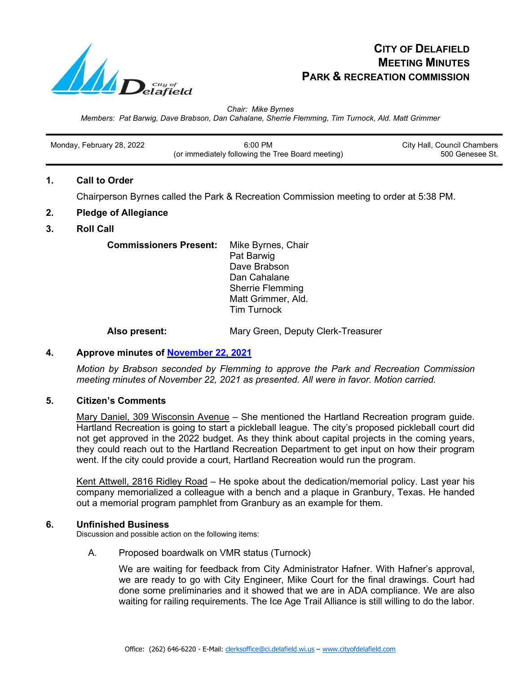

# **CITY OF DELAFIELD MEETING MINUTES PARK & RECREATION COMMISSION**

*Chair: Mike Byrnes*

*Members: Pat Barwig, Dave Brabson, Dan Cahalane, Sherrie Flemming, Tim Turnock, Ald. Matt Grimmer*

| Monday, February 28, 2022 | $6:00$ PM                                         | City Hall, Council Chambers |
|---------------------------|---------------------------------------------------|-----------------------------|
|                           | (or immediately following the Tree Board meeting) | 500 Genesee St.             |

# **1. Call to Order**

Chairperson Byrnes called the Park & Recreation Commission meeting to order at 5:38 PM.

## **2. Pledge of Allegiance**

# **3. Roll Call**

**Commissioners Present:** Mike Byrnes, Chair Pat Barwig Dave Brabson Dan Cahalane Sherrie Flemming Matt Grimmer, Ald. Tim Turnock

**Also present:** Mary Green, Deputy Clerk-Treasurer

# **4. Approve minutes of [November 22, 2021](https://www.cityofdelafield.com/AgendaCenter/ViewFile/Minutes/_11222021-591)**

*Motion by Brabson seconded by Flemming to approve the Park and Recreation Commission meeting minutes of November 22, 2021 as presented. All were in favor. Motion carried.*

## **5. Citizen's Comments**

Mary Daniel, 309 Wisconsin Avenue - She mentioned the Hartland Recreation program guide. Hartland Recreation is going to start a pickleball league. The city's proposed pickleball court did not get approved in the 2022 budget. As they think about capital projects in the coming years, they could reach out to the Hartland Recreation Department to get input on how their program went. If the city could provide a court, Hartland Recreation would run the program.

Kent Attwell, 2816 Ridley Road – He spoke about the dedication/memorial policy. Last year his company memorialized a colleague with a bench and a plaque in Granbury, Texas. He handed out a memorial program pamphlet from Granbury as an example for them.

## **6. Unfinished Business**

Discussion and possible action on the following items:

## A. Proposed boardwalk on VMR status (Turnock)

We are waiting for feedback from City Administrator Hafner. With Hafner's approval, we are ready to go with City Engineer, Mike Court for the final drawings. Court had done some preliminaries and it showed that we are in ADA compliance. We are also waiting for railing requirements. The Ice Age Trail Alliance is still willing to do the labor.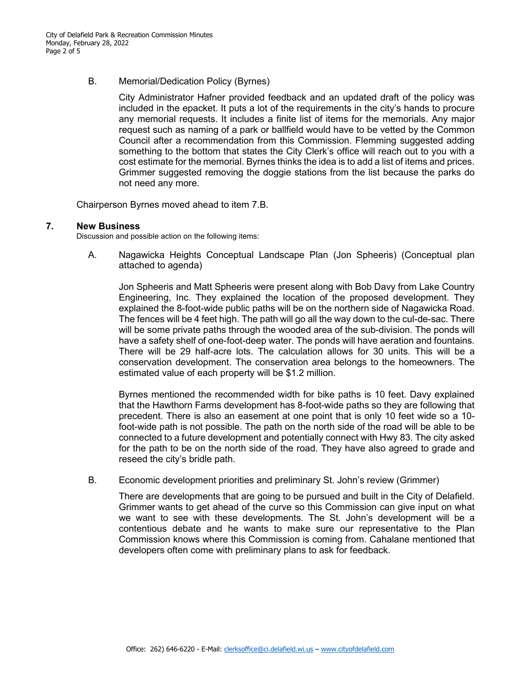B. Memorial/Dedication Policy (Byrnes)

City Administrator Hafner provided feedback and an updated draft of the policy was included in the epacket. It puts a lot of the requirements in the city's hands to procure any memorial requests. It includes a finite list of items for the memorials. Any major request such as naming of a park or ballfield would have to be vetted by the Common Council after a recommendation from this Commission. Flemming suggested adding something to the bottom that states the City Clerk's office will reach out to you with a cost estimate for the memorial. Byrnes thinks the idea is to add a list of items and prices. Grimmer suggested removing the doggie stations from the list because the parks do not need any more.

Chairperson Byrnes moved ahead to item 7.B.

#### **7. New Business**

Discussion and possible action on the following items:

A. Nagawicka Heights Conceptual Landscape Plan (Jon Spheeris) (Conceptual plan attached to agenda)

Jon Spheeris and Matt Spheeris were present along with Bob Davy from Lake Country Engineering, Inc. They explained the location of the proposed development. They explained the 8-foot-wide public paths will be on the northern side of Nagawicka Road. The fences will be 4 feet high. The path will go all the way down to the cul-de-sac. There will be some private paths through the wooded area of the sub-division. The ponds will have a safety shelf of one-foot-deep water. The ponds will have aeration and fountains. There will be 29 half-acre lots. The calculation allows for 30 units. This will be a conservation development. The conservation area belongs to the homeowners. The estimated value of each property will be \$1.2 million.

Byrnes mentioned the recommended width for bike paths is 10 feet. Davy explained that the Hawthorn Farms development has 8-foot-wide paths so they are following that precedent. There is also an easement at one point that is only 10 feet wide so a 10 foot-wide path is not possible. The path on the north side of the road will be able to be connected to a future development and potentially connect with Hwy 83. The city asked for the path to be on the north side of the road. They have also agreed to grade and reseed the city's bridle path.

B. Economic development priorities and preliminary St. John's review (Grimmer)

There are developments that are going to be pursued and built in the City of Delafield. Grimmer wants to get ahead of the curve so this Commission can give input on what we want to see with these developments. The St. John's development will be a contentious debate and he wants to make sure our representative to the Plan Commission knows where this Commission is coming from. Cahalane mentioned that developers often come with preliminary plans to ask for feedback.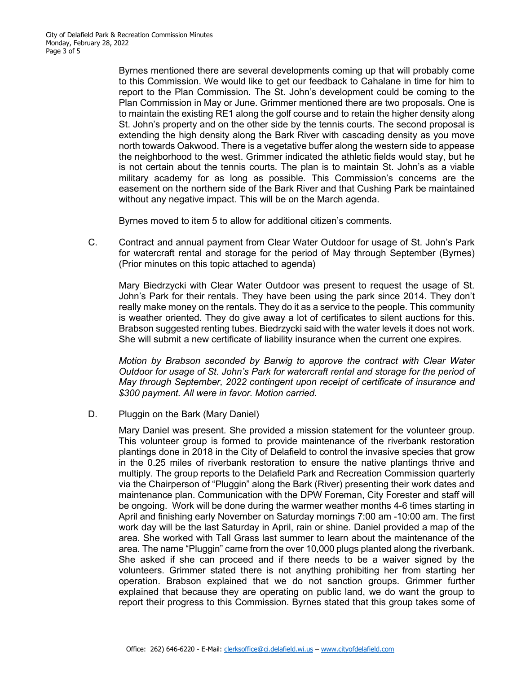Byrnes mentioned there are several developments coming up that will probably come to this Commission. We would like to get our feedback to Cahalane in time for him to report to the Plan Commission. The St. John's development could be coming to the Plan Commission in May or June. Grimmer mentioned there are two proposals. One is to maintain the existing RE1 along the golf course and to retain the higher density along St. John's property and on the other side by the tennis courts. The second proposal is extending the high density along the Bark River with cascading density as you move north towards Oakwood. There is a vegetative buffer along the western side to appease the neighborhood to the west. Grimmer indicated the athletic fields would stay, but he is not certain about the tennis courts. The plan is to maintain St. John's as a viable military academy for as long as possible. This Commission's concerns are the easement on the northern side of the Bark River and that Cushing Park be maintained without any negative impact. This will be on the March agenda.

Byrnes moved to item 5 to allow for additional citizen's comments.

C. Contract and annual payment from Clear Water Outdoor for usage of St. John's Park for watercraft rental and storage for the period of May through September (Byrnes) (Prior minutes on this topic attached to agenda)

Mary Biedrzycki with Clear Water Outdoor was present to request the usage of St. John's Park for their rentals. They have been using the park since 2014. They don't really make money on the rentals. They do it as a service to the people. This community is weather oriented. They do give away a lot of certificates to silent auctions for this. Brabson suggested renting tubes. Biedrzycki said with the water levels it does not work. She will submit a new certificate of liability insurance when the current one expires.

*Motion by Brabson seconded by Barwig to approve the contract with Clear Water Outdoor for usage of St. John's Park for watercraft rental and storage for the period of May through September, 2022 contingent upon receipt of certificate of insurance and \$300 payment. All were in favor. Motion carried.*

D. Pluggin on the Bark (Mary Daniel)

Mary Daniel was present. She provided a mission statement for the volunteer group. This volunteer group is formed to provide maintenance of the riverbank restoration plantings done in 2018 in the City of Delafield to control the invasive species that grow in the 0.25 miles of riverbank restoration to ensure the native plantings thrive and multiply. The group reports to the Delafield Park and Recreation Commission quarterly via the Chairperson of "Pluggin" along the Bark (River) presenting their work dates and maintenance plan. Communication with the DPW Foreman, City Forester and staff will be ongoing. Work will be done during the warmer weather months 4-6 times starting in April and finishing early November on Saturday mornings 7:00 am -10:00 am. The first work day will be the last Saturday in April, rain or shine. Daniel provided a map of the area. She worked with Tall Grass last summer to learn about the maintenance of the area. The name "Pluggin" came from the over 10,000 plugs planted along the riverbank. She asked if she can proceed and if there needs to be a waiver signed by the volunteers. Grimmer stated there is not anything prohibiting her from starting her operation. Brabson explained that we do not sanction groups. Grimmer further explained that because they are operating on public land, we do want the group to report their progress to this Commission. Byrnes stated that this group takes some of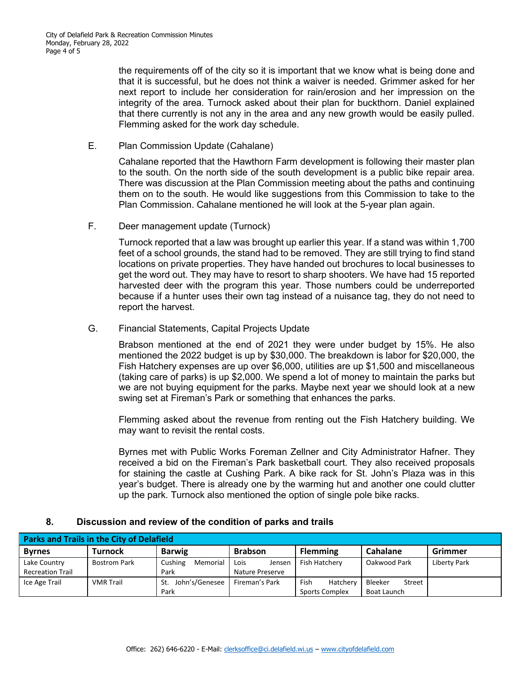the requirements off of the city so it is important that we know what is being done and that it is successful, but he does not think a waiver is needed. Grimmer asked for her next report to include her consideration for rain/erosion and her impression on the integrity of the area. Turnock asked about their plan for buckthorn. Daniel explained that there currently is not any in the area and any new growth would be easily pulled. Flemming asked for the work day schedule.

E. Plan Commission Update (Cahalane)

Cahalane reported that the Hawthorn Farm development is following their master plan to the south. On the north side of the south development is a public bike repair area. There was discussion at the Plan Commission meeting about the paths and continuing them on to the south. He would like suggestions from this Commission to take to the Plan Commission. Cahalane mentioned he will look at the 5-year plan again.

F. Deer management update (Turnock)

Turnock reported that a law was brought up earlier this year. If a stand was within 1,700 feet of a school grounds, the stand had to be removed. They are still trying to find stand locations on private properties. They have handed out brochures to local businesses to get the word out. They may have to resort to sharp shooters. We have had 15 reported harvested deer with the program this year. Those numbers could be underreported because if a hunter uses their own tag instead of a nuisance tag, they do not need to report the harvest.

G. Financial Statements, Capital Projects Update

Brabson mentioned at the end of 2021 they were under budget by 15%. He also mentioned the 2022 budget is up by \$30,000. The breakdown is labor for \$20,000, the Fish Hatchery expenses are up over \$6,000, utilities are up \$1,500 and miscellaneous (taking care of parks) is up \$2,000. We spend a lot of money to maintain the parks but we are not buying equipment for the parks. Maybe next year we should look at a new swing set at Fireman's Park or something that enhances the parks.

Flemming asked about the revenue from renting out the Fish Hatchery building. We may want to revisit the rental costs.

Byrnes met with Public Works Foreman Zellner and City Administrator Hafner. They received a bid on the Fireman's Park basketball court. They also received proposals for staining the castle at Cushing Park. A bike rack for St. John's Plaza was in this year's budget. There is already one by the warming hut and another one could clutter up the park. Turnock also mentioned the option of single pole bike racks.

# **8. Discussion and review of the condition of parks and trails**

| <b>Parks and Trails in the City of Delafield</b> |                     |                       |                 |                  |                   |              |  |  |
|--------------------------------------------------|---------------------|-----------------------|-----------------|------------------|-------------------|--------------|--|--|
| <b>Byrnes</b>                                    | <b>Turnock</b>      | <b>Barwig</b>         | <b>Brabson</b>  | <b>Flemming</b>  | Cahalane          | Grimmer      |  |  |
| Lake Country                                     | <b>Bostrom Park</b> | Cushing<br>Memorial   | Lois<br>Jensen  | Fish Hatchery    | Oakwood Park      | Liberty Park |  |  |
| <b>Recreation Trail</b>                          |                     | Park                  | Nature Preserve |                  |                   |              |  |  |
| Ice Age Trail                                    | <b>VMR</b> Trail    | John's/Genesee<br>St. | Fireman's Park  | Hatcherv<br>Fish | Bleeker<br>Street |              |  |  |
|                                                  |                     | Park                  |                 | Sports Complex   | Boat Launch       |              |  |  |